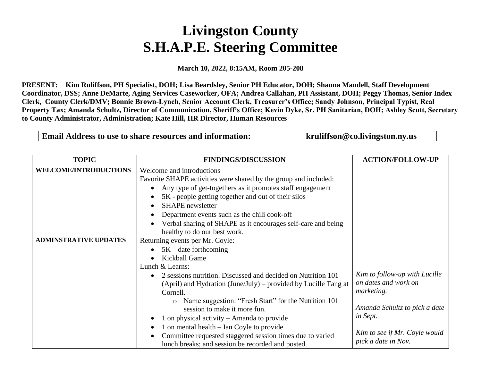## **Livingston County S.H.A.P.E. Steering Committee**

**March 10, 2022, 8:15AM, Room 205-208**

**PRESENT: Kim Ruliffson, PH Specialist, DOH; Lisa Beardsley, Senior PH Educator, DOH; Shauna Mandell, Staff Development Coordinator, DSS; Anne DeMarte, Aging Services Caseworker, OFA; Andrea Callahan, PH Assistant, DOH; Peggy Thomas, Senior Index Clerk, County Clerk/DMV; Bonnie Brown-Lynch, Senior Account Clerk, Treasurer's Office; Sandy Johnson, Principal Typist, Real Property Tax; Amanda Schultz, Director of Communication, Sheriff's Office; Kevin Dyke, Sr. PH Sanitarian, DOH; Ashley Scutt, Secretary to County Administrator, Administration; Kate Hill, HR Director, Human Resources**

Email Address to use to share resources and information: kruliffson@co.livingston.ny.us

| <b>TOPIC</b>                 | <b>FINDINGS/DISCUSSION</b>                                       | <b>ACTION/FOLLOW-UP</b>       |
|------------------------------|------------------------------------------------------------------|-------------------------------|
| <b>WELCOME/INTRODUCTIONS</b> | Welcome and introductions                                        |                               |
|                              | Favorite SHAPE activities were shared by the group and included: |                               |
|                              | Any type of get-togethers as it promotes staff engagement        |                               |
|                              | 5K - people getting together and out of their silos              |                               |
|                              | <b>SHAPE</b> newsletter                                          |                               |
|                              | Department events such as the chili cook-off                     |                               |
|                              | Verbal sharing of SHAPE as it encourages self-care and being     |                               |
|                              | healthy to do our best work.                                     |                               |
| <b>ADMINSTRATIVE UPDATES</b> | Returning events per Mr. Coyle:                                  |                               |
|                              | $5K -$ date forthcoming                                          |                               |
|                              | Kickball Game                                                    |                               |
|                              | Lunch & Learns:                                                  |                               |
|                              | 2 sessions nutrition. Discussed and decided on Nutrition 101     | Kim to follow-up with Lucille |
|                              | (April) and Hydration (June/July) – provided by Lucille Tang at  | on dates and work on          |
|                              | Cornell.                                                         | <i>marketing.</i>             |
|                              | Name suggestion: "Fresh Start" for the Nutrition 101<br>$\circ$  |                               |
|                              | session to make it more fun.                                     | Amanda Schultz to pick a date |
|                              | 1 on physical activity $-$ Amanda to provide                     | in Sept.                      |
|                              | 1 on mental health – Ian Coyle to provide                        |                               |
|                              | Committee requested staggered session times due to varied        | Kim to see if Mr. Coyle would |
|                              | lunch breaks; and session be recorded and posted.                | pick a date in Nov.           |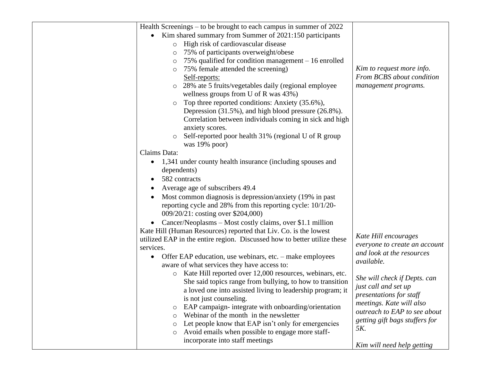| Health Screenings – to be brought to each campus in summer of 2022       |                                |
|--------------------------------------------------------------------------|--------------------------------|
| Kim shared summary from Summer of 2021:150 participants                  |                                |
| High risk of cardiovascular disease<br>$\circ$                           |                                |
| 75% of participants overweight/obese<br>$\circ$                          |                                |
| 75% qualified for condition management $-16$ enrolled<br>$\circ$         |                                |
| 75% female attended the screening)<br>$\circ$                            | Kim to request more info.      |
| Self-reports:                                                            | From BCBS about condition      |
| 28% ate 5 fruits/vegetables daily (regional employee<br>$\circ$          | management programs.           |
| wellness groups from U of R was 43%)                                     |                                |
| Top three reported conditions: Anxiety (35.6%),                          |                                |
| Depression (31.5%), and high blood pressure (26.8%).                     |                                |
| Correlation between individuals coming in sick and high                  |                                |
| anxiety scores.                                                          |                                |
| Self-reported poor health 31% (regional U of R group                     |                                |
| was 19% poor)                                                            |                                |
| Claims Data:                                                             |                                |
| 1,341 under county health insurance (including spouses and               |                                |
| $\bullet$<br>dependents)                                                 |                                |
| 582 contracts                                                            |                                |
|                                                                          |                                |
| Average age of subscribers 49.4                                          |                                |
| Most common diagnosis is depression/anxiety (19% in past)                |                                |
| reporting cycle and 28% from this reporting cycle: 10/1/20-              |                                |
| 009/20/21: costing over \$204,000)                                       |                                |
| Cancer/Neoplasms – Most costly claims, over \$1.1 million                |                                |
| Kate Hill (Human Resources) reported that Liv. Co. is the lowest         | Kate Hill encourages           |
| utilized EAP in the entire region. Discussed how to better utilize these | everyone to create an account  |
| services.                                                                | and look at the resources      |
| Offer EAP education, use webinars, etc. – make employees<br>$\bullet$    | available.                     |
| aware of what services they have access to:                              |                                |
| Kate Hill reported over 12,000 resources, webinars, etc.<br>$\circ$      | She will check if Depts. can   |
| She said topics range from bullying, to how to transition                | just call and set up           |
| a loved one into assisted living to leadership program; it               | presentations for staff        |
| is not just counseling.                                                  | meetings. Kate will also       |
| EAP campaign- integrate with onboarding/orientation<br>$\circ$           | outreach to EAP to see about   |
| Webinar of the month in the newsletter<br>$\circ$                        | getting gift bags stuffers for |
| Let people know that EAP isn't only for emergencies<br>$\circ$           | <i>5K.</i>                     |
| Avoid emails when possible to engage more staff-<br>$\circ$              |                                |
| incorporate into staff meetings                                          | Kim will need help getting     |
|                                                                          |                                |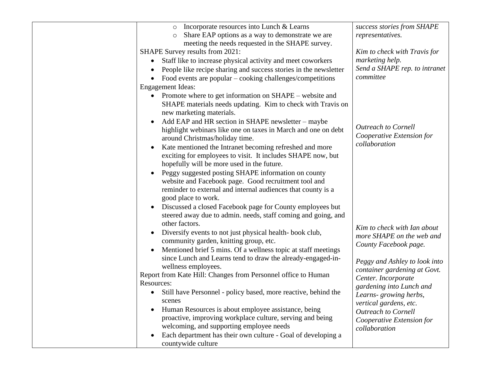| $\circ$ Incorporate resources into Lunch & Learns<br>Share EAP options as a way to demonstrate we are<br>$\circ$<br>meeting the needs requested in the SHAPE survey.<br>SHAPE Survey results from 2021:                                                                                                                                                                                                                                                                                                                                                                                                                                                                                                                                                | success stories from SHAPE<br>representatives.<br>Kim to check with Travis for                                                                     |
|--------------------------------------------------------------------------------------------------------------------------------------------------------------------------------------------------------------------------------------------------------------------------------------------------------------------------------------------------------------------------------------------------------------------------------------------------------------------------------------------------------------------------------------------------------------------------------------------------------------------------------------------------------------------------------------------------------------------------------------------------------|----------------------------------------------------------------------------------------------------------------------------------------------------|
|                                                                                                                                                                                                                                                                                                                                                                                                                                                                                                                                                                                                                                                                                                                                                        | marketing help.                                                                                                                                    |
| Staff like to increase physical activity and meet coworkers<br>People like recipe sharing and success stories in the newsletter<br>Food events are popular $-\text{cooking challenges}/\text{competitions}$                                                                                                                                                                                                                                                                                                                                                                                                                                                                                                                                            | Send a SHAPE rep. to intranet<br>committee                                                                                                         |
| <b>Engagement Ideas:</b>                                                                                                                                                                                                                                                                                                                                                                                                                                                                                                                                                                                                                                                                                                                               |                                                                                                                                                    |
| Promote where to get information on SHAPE – website and<br>SHAPE materials needs updating. Kim to check with Travis on<br>new marketing materials.<br>Add EAP and HR section in SHAPE newsletter – maybe<br>highlight webinars like one on taxes in March and one on debt<br>around Christmas/holiday time.<br>Kate mentioned the Intranet becoming refreshed and more<br>exciting for employees to visit. It includes SHAPE now, but<br>hopefully will be more used in the future.<br>Peggy suggested posting SHAPE information on county<br>website and Facebook page. Good recruitment tool and<br>reminder to external and internal audiences that county is a<br>good place to work.<br>Discussed a closed Facebook page for County employees but | <b>Outreach to Cornell</b><br>Cooperative Extension for<br>collaboration                                                                           |
|                                                                                                                                                                                                                                                                                                                                                                                                                                                                                                                                                                                                                                                                                                                                                        |                                                                                                                                                    |
| steered away due to admin. needs, staff coming and going, and                                                                                                                                                                                                                                                                                                                                                                                                                                                                                                                                                                                                                                                                                          |                                                                                                                                                    |
| other factors.<br>Diversify events to not just physical health-book club,<br>community garden, knitting group, etc.<br>Mentioned brief 5 mins. Of a wellness topic at staff meetings<br>since Lunch and Learns tend to draw the already-engaged-in-<br>wellness employees.                                                                                                                                                                                                                                                                                                                                                                                                                                                                             | Kim to check with Ian about<br>more SHAPE on the web and<br>County Facebook page.<br>Peggy and Ashley to look into<br>container gardening at Govt. |
| Report from Kate Hill: Changes from Personnel office to Human                                                                                                                                                                                                                                                                                                                                                                                                                                                                                                                                                                                                                                                                                          | Center. Incorporate                                                                                                                                |
| Resources:                                                                                                                                                                                                                                                                                                                                                                                                                                                                                                                                                                                                                                                                                                                                             | gardening into Lunch and                                                                                                                           |
| Still have Personnel - policy based, more reactive, behind the<br>scenes<br>Human Resources is about employee assistance, being<br>proactive, improving workplace culture, serving and being<br>welcoming, and supporting employee needs                                                                                                                                                                                                                                                                                                                                                                                                                                                                                                               | Learns-growing herbs,<br>vertical gardens, etc.<br><b>Outreach to Cornell</b><br>Cooperative Extension for<br>collaboration                        |
| Each department has their own culture - Goal of developing a<br>countywide culture                                                                                                                                                                                                                                                                                                                                                                                                                                                                                                                                                                                                                                                                     |                                                                                                                                                    |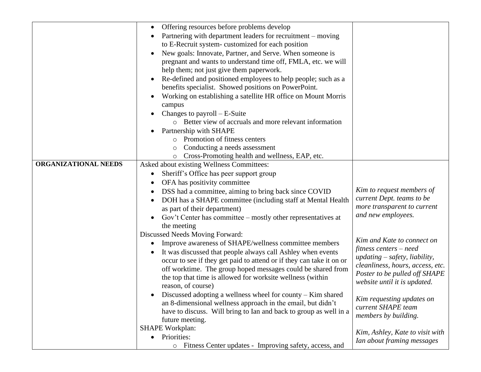|                      | Offering resources before problems develop                                                                                          |                                                   |
|----------------------|-------------------------------------------------------------------------------------------------------------------------------------|---------------------------------------------------|
|                      | Partnering with department leaders for recruitment – moving                                                                         |                                                   |
|                      | to E-Recruit system-customized for each position                                                                                    |                                                   |
|                      | New goals: Innovate, Partner, and Serve. When someone is                                                                            |                                                   |
|                      | pregnant and wants to understand time off, FMLA, etc. we will                                                                       |                                                   |
|                      | help them; not just give them paperwork.                                                                                            |                                                   |
|                      | Re-defined and positioned employees to help people; such as a                                                                       |                                                   |
|                      | benefits specialist. Showed positions on PowerPoint.                                                                                |                                                   |
|                      | Working on establishing a satellite HR office on Mount Morris                                                                       |                                                   |
|                      | campus                                                                                                                              |                                                   |
|                      | Changes to payroll $- E$ -Suite                                                                                                     |                                                   |
|                      | o Better view of accruals and more relevant information                                                                             |                                                   |
|                      | Partnership with SHAPE                                                                                                              |                                                   |
|                      | o Promotion of fitness centers                                                                                                      |                                                   |
|                      | Conducting a needs assessment<br>$\circ$                                                                                            |                                                   |
|                      | Cross-Promoting health and wellness, EAP, etc.                                                                                      |                                                   |
| ORGANIZATIONAL NEEDS | Asked about existing Wellness Committees:                                                                                           |                                                   |
|                      | Sheriff's Office has peer support group<br>$\bullet$                                                                                |                                                   |
|                      | OFA has positivity committee                                                                                                        |                                                   |
|                      | DSS had a committee, aiming to bring back since COVID                                                                               | Kim to request members of                         |
|                      | DOH has a SHAPE committee (including staff at Mental Health                                                                         | current Dept. teams to be                         |
|                      | as part of their department)                                                                                                        | more transparent to current<br>and new employees. |
|                      | Gov't Center has committee – mostly other representatives at                                                                        |                                                   |
|                      | the meeting                                                                                                                         |                                                   |
|                      | Discussed Needs Moving Forward:                                                                                                     | Kim and Kate to connect on                        |
|                      | Improve awareness of SHAPE/wellness committee members                                                                               | fitness centers – need                            |
|                      | It was discussed that people always call Ashley when events<br>occur to see if they get paid to attend or if they can take it on or | $updatey$ , liability,                            |
|                      | off worktime. The group hoped messages could be shared from                                                                         | cleanliness, hours, access, etc.                  |
|                      | the top that time is allowed for worksite wellness (within                                                                          | Poster to be pulled off SHAPE                     |
|                      | reason, of course)                                                                                                                  | website until it is updated.                      |
|                      | Discussed adopting a wellness wheel for county – Kim shared<br>$\bullet$                                                            |                                                   |
|                      | an 8-dimensional wellness approach in the email, but didn't                                                                         | Kim requesting updates on                         |
|                      | have to discuss. Will bring to Ian and back to group as well in a                                                                   | current SHAPE team                                |
|                      | future meeting.                                                                                                                     | members by building.                              |
|                      | <b>SHAPE Workplan:</b>                                                                                                              |                                                   |
|                      | • Priorities:                                                                                                                       | Kim, Ashley, Kate to visit with                   |
|                      | Fitness Center updates - Improving safety, access, and<br>$\circ$                                                                   | Ian about framing messages                        |